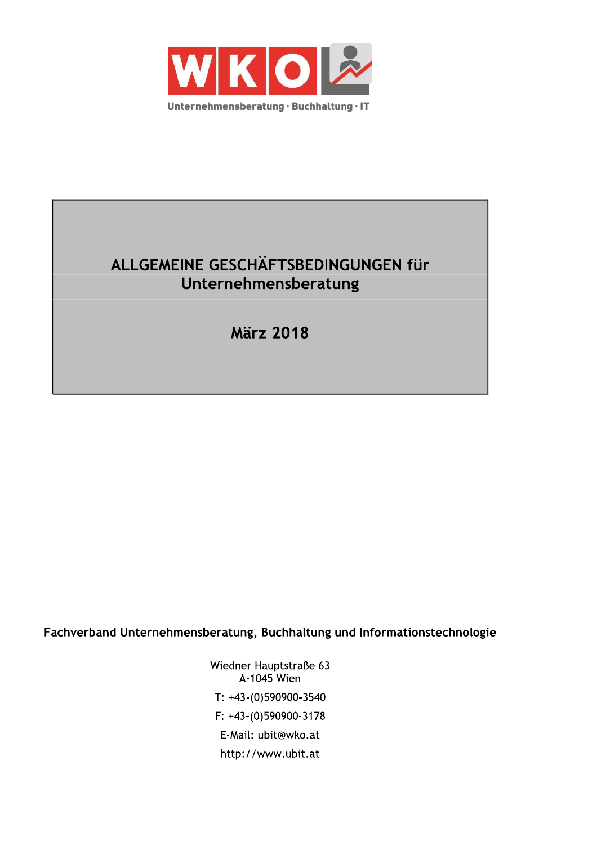

# ALLGEMEINE GESCHÄFTSBEDINGUNGEN für Unternehmensberatung

**März 2018** 

Fachverband Unternehmensberatung, Buchhaltung und Informationstechnologie

Wiedner Hauptstraße 63 A-1045 Wien T: +43-(0)590900-3540 F: +43-(0)590900-3178 E-Mail: ubit@wko.at http://www.ubit.at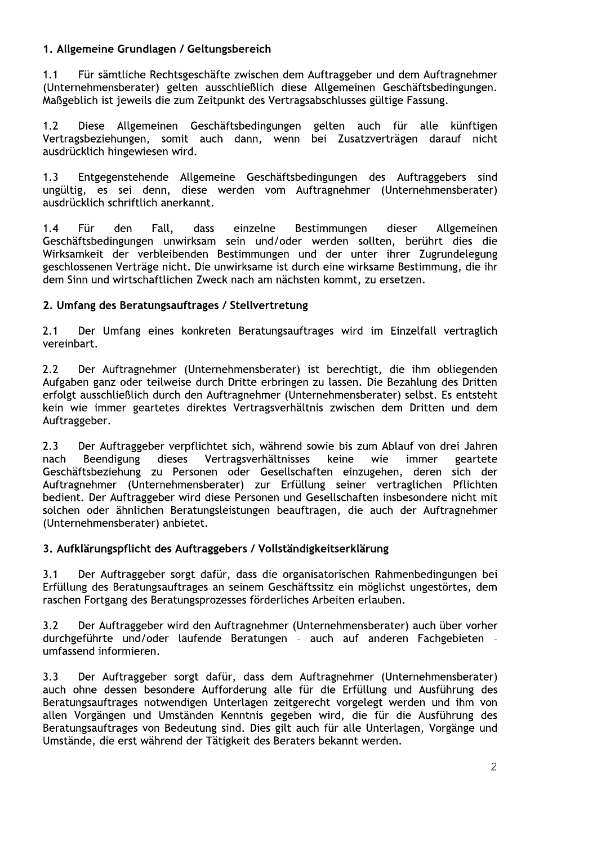# 1. Allgemeine Grundlagen / Geltungsbereich

Für sämtliche Rechtsgeschäfte zwischen dem Auftraggeber und dem Auftragnehmer  $1.1$ (Unternehmensberater) gelten ausschließlich diese Allgemeinen Geschäftsbedingungen. Maßgeblich ist jeweils die zum Zeitpunkt des Vertragsabschlusses gültige Fassung.

 $1.2$ Diese Allgemeinen Geschäftsbedingungen gelten auch für alle künftigen Vertragsbeziehungen, somit auch dann, wenn bei Zusatzverträgen darauf nicht ausdrücklich hingewiesen wird.

Entgegenstehende Allgemeine Geschäftsbedingungen des Auftraggebers sind  $1.3$ ungültig, es sei denn, diese werden vom Auftragnehmer (Unternehmensberater) ausdrücklich schriftlich anerkannt.

 $1.4$ **Für** den. Fall. dass einzelne Bestimmungen dieser Allgemeinen Geschäftsbedingungen unwirksam sein und/oder werden sollten, berührt dies die Wirksamkeit der verbleibenden Bestimmungen und der unter ihrer Zugrundelegung geschlossenen Verträge nicht. Die unwirksame ist durch eine wirksame Bestimmung, die ihr dem Sinn und wirtschaftlichen Zweck nach am nächsten kommt, zu ersetzen.

## 2. Umfang des Beratungsauftrages / Stellvertretung

Der Umfang eines konkreten Beratungsauftrages wird im Einzelfall vertraglich  $2.1$ vereinbart.

 $2.2$ Der Auftragnehmer (Unternehmensberater) ist berechtigt, die ihm obliegenden Aufgaben ganz oder teilweise durch Dritte erbringen zu lassen. Die Bezahlung des Dritten erfolgt ausschließlich durch den Auftragnehmer (Unternehmensberater) selbst. Es entsteht kein wie immer geartetes direktes Vertragsverhältnis zwischen dem Dritten und dem Auftraggeber.

 $2.3$ Der Auftraggeber verpflichtet sich, während sowie bis zum Ablauf von drei Jahren nach Beendigung dieses Vertragsverhältnisses keine wie immer geartete Geschäftsbeziehung zu Personen oder Gesellschaften einzugehen, deren sich der Auftragnehmer (Unternehmensberater) zur Erfüllung seiner vertraglichen Pflichten bedient. Der Auftraggeber wird diese Personen und Gesellschaften insbesondere nicht mit solchen oder ähnlichen Beratungsleistungen beauftragen, die auch der Auftragnehmer (Unternehmensberater) anbietet.

#### 3. Aufklärungspflicht des Auftraggebers / Vollständigkeitserklärung

Der Auftraggeber sorgt dafür, dass die organisatorischen Rahmenbedingungen bei  $3.1$ Erfüllung des Beratungsauftrages an seinem Geschäftssitz ein möglichst ungestörtes, dem raschen Fortgang des Beratungsprozesses förderliches Arbeiten erlauben.

Der Auftraggeber wird den Auftragnehmer (Unternehmensberater) auch über vorher  $3.2$ durchgeführte und/oder laufende Beratungen - auch auf anderen Fachgebieten umfassend informieren.

 $3.3$ Der Auftraggeber sorgt dafür, dass dem Auftragnehmer (Unternehmensberater) auch ohne dessen besondere Aufforderung alle für die Erfüllung und Ausführung des Beratungsauftrages notwendigen Unterlagen zeitgerecht vorgelegt werden und ihm von allen Vorgängen und Umständen Kenntnis gegeben wird, die für die Ausführung des Beratungsauftrages von Bedeutung sind. Dies gilt auch für alle Unterlagen, Vorgänge und Umstände, die erst während der Tätigkeit des Beraters bekannt werden.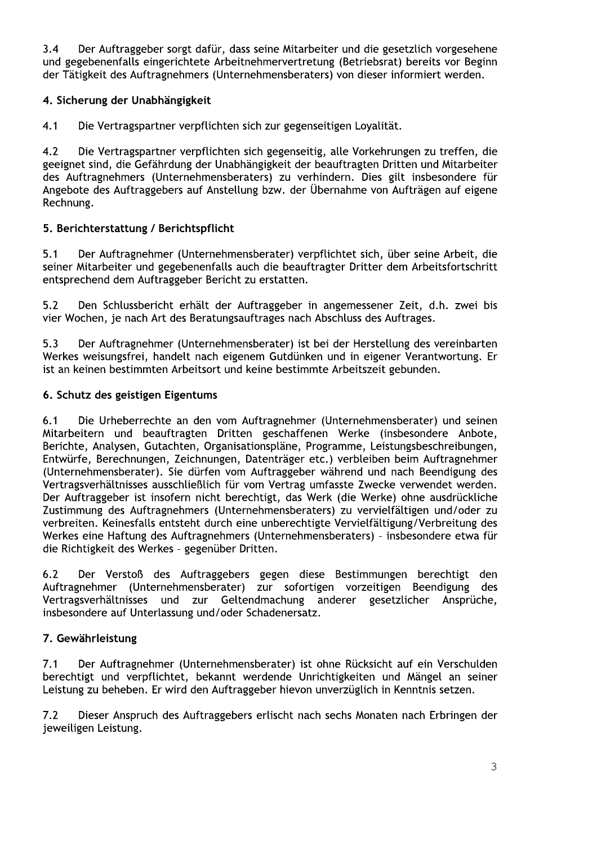$3.4$ Der Auftraggeber sorgt dafür, dass seine Mitarbeiter und die gesetzlich vorgesehene und gegebenenfalls eingerichtete Arbeitnehmervertretung (Betriebsrat) bereits vor Beginn der Tätigkeit des Auftragnehmers (Unternehmensberaters) von dieser informiert werden.

# 4. Sicherung der Unabhängigkeit

 $4.1$ Die Vertragspartner verpflichten sich zur gegenseitigen Loyalität.

 $4.2$ Die Vertragspartner verpflichten sich gegenseitig, alle Vorkehrungen zu treffen, die geeignet sind, die Gefährdung der Unabhängigkeit der beauftragten Dritten und Mitarbeiter des Auftragnehmers (Unternehmensberaters) zu verhindern. Dies gilt insbesondere für Angebote des Auftraggebers auf Anstellung bzw. der Übernahme von Aufträgen auf eigene Rechnung.

# 5. Berichterstattung / Berichtspflicht

 $5.1$ Der Auftragnehmer (Unternehmensberater) verpflichtet sich, über seine Arbeit, die seiner Mitarbeiter und gegebenenfalls auch die beauftragter Dritter dem Arbeitsfortschritt entsprechend dem Auftraggeber Bericht zu erstatten.

 $5.2$ Den Schlussbericht erhält der Auftraggeber in angemessener Zeit, d.h. zwei bis vier Wochen, je nach Art des Beratungsauftrages nach Abschluss des Auftrages.

 $5.3$ Der Auftragnehmer (Unternehmensberater) ist bei der Herstellung des vereinbarten Werkes weisungsfrei, handelt nach eigenem Gutdünken und in eigener Verantwortung. Er ist an keinen bestimmten Arbeitsort und keine bestimmte Arbeitszeit gebunden.

## 6. Schutz des geistigen Eigentums

Die Urheberrechte an den vom Auftragnehmer (Unternehmensberater) und seinen  $6.1$ Mitarbeitern und beauftragten Dritten geschaffenen Werke (insbesondere Anbote, Berichte, Analysen, Gutachten, Organisationspläne, Programme, Leistungsbeschreibungen, Entwürfe, Berechnungen, Zeichnungen, Datenträger etc.) verbleiben beim Auftragnehmer (Unternehmensberater). Sie dürfen vom Auftraggeber während und nach Beendigung des Vertragsverhältnisses ausschließlich für vom Vertrag umfasste Zwecke verwendet werden. Der Auftraggeber ist insofern nicht berechtigt, das Werk (die Werke) ohne ausdrückliche Zustimmung des Auftragnehmers (Unternehmensberaters) zu vervielfältigen und/oder zu verbreiten. Keinesfalls entsteht durch eine unberechtigte Vervielfältigung/Verbreitung des Werkes eine Haftung des Auftragnehmers (Unternehmensberaters) - insbesondere etwa für die Richtigkeit des Werkes - gegenüber Dritten.

Der Verstoß des Auftraggebers gegen diese Bestimmungen berechtigt den  $6.2$ Auftragnehmer (Unternehmensberater) zur sofortigen vorzeitigen Beendigung des Vertragsverhältnisses und zur Geltendmachung anderer gesetzlicher Ansprüche. insbesondere auf Unterlassung und/oder Schadenersatz.

# 7. Gewährleistung

 $7.1$ Der Auftragnehmer (Unternehmensberater) ist ohne Rücksicht auf ein Verschulden berechtigt und verpflichtet, bekannt werdende Unrichtigkeiten und Mängel an seiner Leistung zu beheben. Er wird den Auftraggeber hievon unverzüglich in Kenntnis setzen.

Dieser Anspruch des Auftraggebers erlischt nach sechs Monaten nach Erbringen der  $7.2$ jeweiligen Leistung.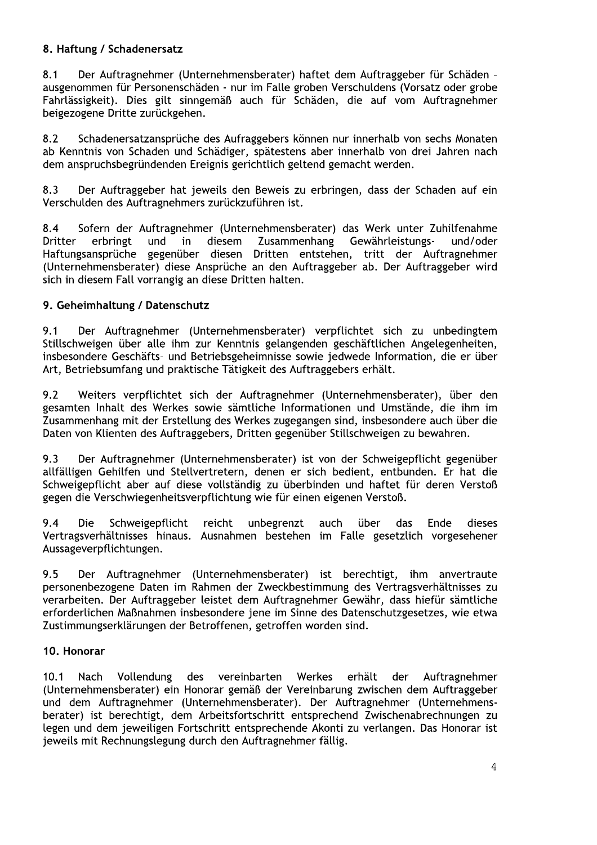## 8. Haftung / Schadenersatz

 $8.1$ Der Auftragnehmer (Unternehmensberater) haftet dem Auftraggeber für Schäden ausgenommen für Personenschäden - nur im Falle groben Verschuldens (Vorsatz oder grobe Fahrlässigkeit). Dies gilt sinngemäß auch für Schäden, die auf vom Auftragnehmer beigezogene Dritte zurückgehen.

 $8.2$ Schadenersatzansprüche des Aufraggebers können nur innerhalb von sechs Monaten ab Kenntnis von Schaden und Schädiger, spätestens aber innerhalb von drei Jahren nach dem anspruchsbegründenden Ereignis gerichtlich geltend gemacht werden.

8.3 Der Auftraggeber hat jeweils den Beweis zu erbringen, dass der Schaden auf ein Verschulden des Auftragnehmers zurückzuführen ist.

Sofern der Auftragnehmer (Unternehmensberater) das Werk unter Zuhilfenahme  $8.4$ **Dritter** erbringt und diesem Zusammenhang Gewährleistungsund/oder in Haftungsansprüche gegenüber diesen Dritten entstehen, tritt der Auftragnehmer (Unternehmensberater) diese Ansprüche an den Auftraggeber ab. Der Auftraggeber wird sich in diesem Fall vorrangig an diese Dritten halten.

## 9. Geheimhaltung / Datenschutz

 $9.1$ Der Auftragnehmer (Unternehmensberater) verpflichtet sich zu unbedingtem Stillschweigen über alle ihm zur Kenntnis gelangenden geschäftlichen Angelegenheiten, insbesondere Geschäfts- und Betriebsgeheimnisse sowie jedwede Information, die er über Art, Betriebsumfang und praktische Tätigkeit des Auftraggebers erhält.

 $9.7$ Weiters verpflichtet sich der Auftragnehmer (Unternehmensberater), über den gesamten Inhalt des Werkes sowie sämtliche Informationen und Umstände, die ihm im Zusammenhang mit der Erstellung des Werkes zugegangen sind, insbesondere auch über die Daten von Klienten des Auftraggebers, Dritten gegenüber Stillschweigen zu bewahren.

9.3 Der Auftragnehmer (Unternehmensberater) ist von der Schweigepflicht gegenüber allfälligen Gehilfen und Stellvertretern, denen er sich bedient, entbunden. Er hat die Schweigepflicht aber auf diese vollständig zu überbinden und haftet für deren Verstoß gegen die Verschwiegenheitsverpflichtung wie für einen eigenen Verstoß.

 $9.4$ **Die** Schweigepflicht reicht unbegrenzt auch über das Ende dieses Vertragsverhältnisses hinaus. Ausnahmen bestehen im Falle gesetzlich vorgesehener Aussageverpflichtungen.

9.5 Der Auftragnehmer (Unternehmensberater) ist berechtigt, ihm anvertraute personenbezogene Daten im Rahmen der Zweckbestimmung des Vertragsverhältnisses zu verarbeiten. Der Auftraggeber leistet dem Auftragnehmer Gewähr, dass hiefür sämtliche erforderlichen Maßnahmen insbesondere jene im Sinne des Datenschutzgesetzes, wie etwa Zustimmungserklärungen der Betroffenen, getroffen worden sind.

#### 10. Honorar

des vereinbarten Werkes erhält  $10.1$ Nach Vollendung der Auftragnehmer (Unternehmensberater) ein Honorar gemäß der Vereinbarung zwischen dem Auftraggeber und dem Auftragnehmer (Unternehmensberater). Der Auftragnehmer (Unternehmensberater) ist berechtigt, dem Arbeitsfortschritt entsprechend Zwischenabrechnungen zu legen und dem jeweiligen Fortschritt entsprechende Akonti zu verlangen. Das Honorar ist jeweils mit Rechnungslegung durch den Auftragnehmer fällig.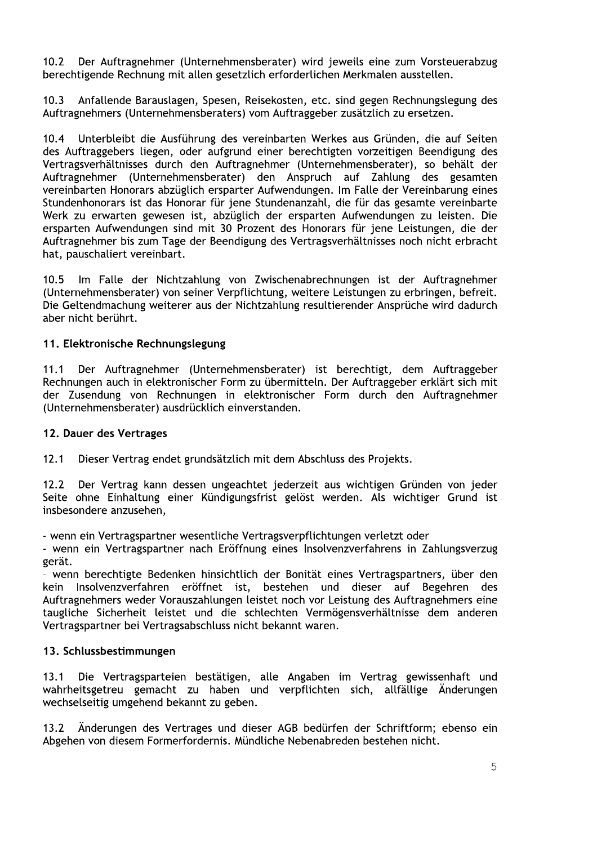Der Auftragnehmer (Unternehmensberater) wird jeweils eine zum Vorsteuerabzug  $10.2$ berechtigende Rechnung mit allen gesetzlich erforderlichen Merkmalen ausstellen.

Anfallende Barauslagen, Spesen, Reisekosten, etc. sind gegen Rechnungslegung des  $10.3$ Auftragnehmers (Unternehmensberaters) vom Auftraggeber zusätzlich zu ersetzen.

Unterbleibt die Ausführung des vereinbarten Werkes aus Gründen, die auf Seiten  $10.4$ des Auftraggebers liegen, oder aufgrund einer berechtigten vorzeitigen Beendigung des Vertragsverhältnisses durch den Auftragnehmer (Unternehmensberater), so behält der Auftragnehmer (Unternehmensberater) den Anspruch auf Zahlung des gesamten vereinbarten Honorars abzüglich ersparter Aufwendungen. Im Falle der Vereinbarung eines Stundenhonorars ist das Honorar für jene Stundenanzahl, die für das gesamte vereinbarte Werk zu erwarten gewesen ist, abzüglich der ersparten Aufwendungen zu leisten. Die ersparten Aufwendungen sind mit 30 Prozent des Honorars für jene Leistungen, die der Auftragnehmer bis zum Tage der Beendigung des Vertragsverhältnisses noch nicht erbracht hat, pauschaliert vereinbart.

Im Falle der Nichtzahlung von Zwischenabrechnungen ist der Auftragnehmer  $10.5$ (Unternehmensberater) von seiner Verpflichtung, weitere Leistungen zu erbringen, befreit. Die Geltendmachung weiterer aus der Nichtzahlung resultierender Ansprüche wird dadurch aber nicht berührt.

## 11. Elektronische Rechnungslegung

Der Auftragnehmer (Unternehmensberater) ist berechtigt, dem Auftraggeber  $11.1$ Rechnungen auch in elektronischer Form zu übermitteln. Der Auftraggeber erklärt sich mit der Zusendung von Rechnungen in elektronischer Form durch den Auftragnehmer (Unternehmensberater) ausdrücklich einverstanden.

#### 12. Dauer des Vertrages

 $12.1$ Dieser Vertrag endet grundsätzlich mit dem Abschluss des Projekts.

Der Vertrag kann dessen ungeachtet jederzeit aus wichtigen Gründen von jeder  $12.2$ Seite ohne Einhaltung einer Kündigungsfrist gelöst werden. Als wichtiger Grund ist insbesondere anzusehen,

- wenn ein Vertragspartner wesentliche Vertragsverpflichtungen verletzt oder

- wenn ein Vertragspartner nach Eröffnung eines Insolvenzverfahrens in Zahlungsverzug gerät.

- wenn berechtigte Bedenken hinsichtlich der Bonität eines Vertragspartners, über den kein Insolvenzverfahren eröffnet ist, bestehen und dieser auf Begehren des Auftragnehmers weder Vorauszahlungen leistet noch vor Leistung des Auftragnehmers eine taugliche Sicherheit leistet und die schlechten Vermögensverhältnisse dem anderen Vertragspartner bei Vertragsabschluss nicht bekannt waren.

#### 13. Schlussbestimmungen

Die Vertragsparteien bestätigen, alle Angaben im Vertrag gewissenhaft und  $13.1$ wahrheitsgetreu gemacht zu haben und verpflichten sich, allfällige Änderungen wechselseitig umgehend bekannt zu geben.

Änderungen des Vertrages und dieser AGB bedürfen der Schriftform; ebenso ein  $13.2$ Abgehen von diesem Formerfordernis. Mündliche Nebenabreden bestehen nicht.